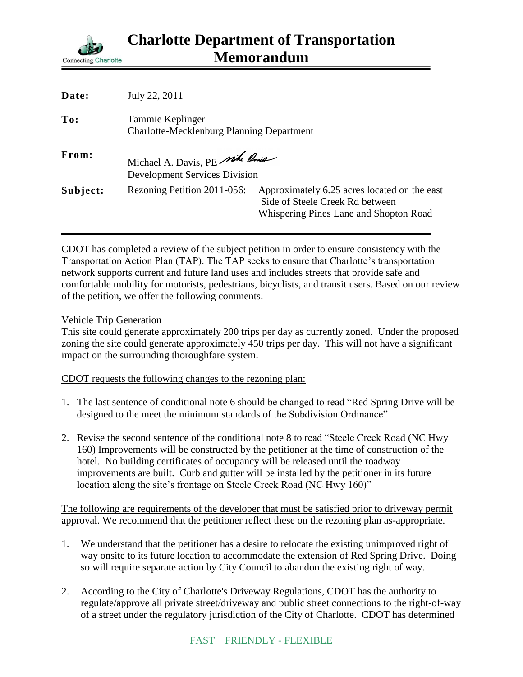

| Date:    | July 22, 2011                                                          |                                                                                                                           |
|----------|------------------------------------------------------------------------|---------------------------------------------------------------------------------------------------------------------------|
| To:      | Tammie Keplinger<br><b>Charlotte-Mecklenburg Planning Department</b>   |                                                                                                                           |
| From:    | Michael A. Davis, PE side Prie<br><b>Development Services Division</b> |                                                                                                                           |
| Subject: | Rezoning Petition 2011-056:                                            | Approximately 6.25 acres located on the east<br>Side of Steele Creek Rd between<br>Whispering Pines Lane and Shopton Road |

CDOT has completed a review of the subject petition in order to ensure consistency with the Transportation Action Plan (TAP). The TAP seeks to ensure that Charlotte's transportation network supports current and future land uses and includes streets that provide safe and comfortable mobility for motorists, pedestrians, bicyclists, and transit users. Based on our review of the petition, we offer the following comments.

## Vehicle Trip Generation

This site could generate approximately 200 trips per day as currently zoned. Under the proposed zoning the site could generate approximately 450 trips per day. This will not have a significant impact on the surrounding thoroughfare system.

## CDOT requests the following changes to the rezoning plan:

- 1. The last sentence of conditional note 6 should be changed to read "Red Spring Drive will be designed to the meet the minimum standards of the Subdivision Ordinance"
- 2. Revise the second sentence of the conditional note 8 to read "Steele Creek Road (NC Hwy 160) Improvements will be constructed by the petitioner at the time of construction of the hotel. No building certificates of occupancy will be released until the roadway improvements are built. Curb and gutter will be installed by the petitioner in its future location along the site's frontage on Steele Creek Road (NC Hwy 160)"

The following are requirements of the developer that must be satisfied prior to driveway permit approval. We recommend that the petitioner reflect these on the rezoning plan as-appropriate.

- 1. We understand that the petitioner has a desire to relocate the existing unimproved right of way onsite to its future location to accommodate the extension of Red Spring Drive. Doing so will require separate action by City Council to abandon the existing right of way.
- 2. According to the City of Charlotte's Driveway Regulations, CDOT has the authority to regulate/approve all private street/driveway and public street connections to the right-of-way of a street under the regulatory jurisdiction of the City of Charlotte. CDOT has determined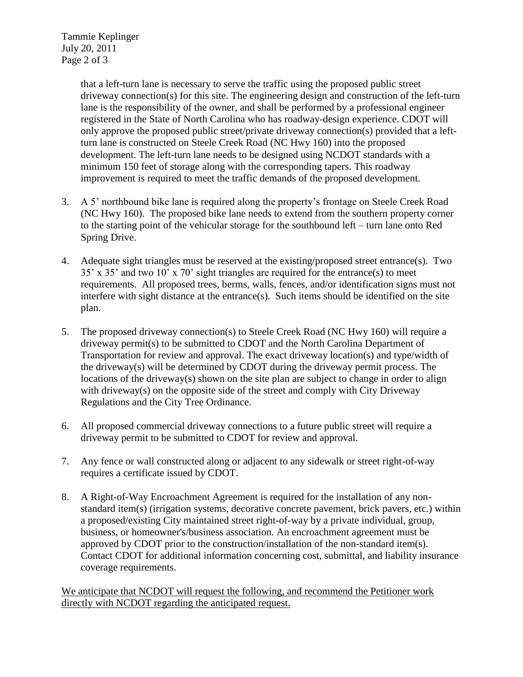Tammie Keplinger July 20, 2011 Page 2 of 3

> that a left-turn lane is necessary to serve the traffic using the proposed public street driveway connection(s) for this site. The engineering design and construction of the left-turn lane is the responsibility of the owner, and shall be performed by a professional engineer registered in the State of North Carolina who has roadway-design experience. CDOT will only approve the proposed public street/private driveway connection(s) provided that a leftturn lane is constructed on Steele Creek Road (NC Hwy 160) into the proposed development. The left-turn lane needs to be designed using NCDOT standards with a minimum 150 feet of storage along with the corresponding tapers. This roadway improvement is required to meet the traffic demands of the proposed development.

- 3. A 5' northbound bike lane is required along the property's frontage on Steele Creek Road (NC Hwy 160). The proposed bike lane needs to extend from the southern property corner to the starting point of the vehicular storage for the southbound left – turn lane onto Red Spring Drive.
- 4. Adequate sight triangles must be reserved at the existing/proposed street entrance(s). Two 35' x 35' and two 10' x 70' sight triangles are required for the entrance(s) to meet requirements. All proposed trees, berms, walls, fences, and/or identification signs must not interfere with sight distance at the entrance(s). Such items should be identified on the site plan.
- 5. The proposed driveway connection(s) to Steele Creek Road (NC Hwy 160) will require a driveway permit(s) to be submitted to CDOT and the North Carolina Department of Transportation for review and approval. The exact driveway location(s) and type/width of the driveway(s) will be determined by CDOT during the driveway permit process. The locations of the driveway(s) shown on the site plan are subject to change in order to align with driveway(s) on the opposite side of the street and comply with City Driveway Regulations and the City Tree Ordinance.
- 6. All proposed commercial driveway connections to a future public street will require a driveway permit to be submitted to CDOT for review and approval.
- 7. Any fence or wall constructed along or adjacent to any sidewalk or street right-of-way requires a certificate issued by CDOT.
- 8. A Right-of-Way Encroachment Agreement is required for the installation of any nonstandard item(s) (irrigation systems, decorative concrete pavement, brick pavers, etc.) within a proposed/existing City maintained street right-of-way by a private individual, group, business, or homeowner's/business association. An encroachment agreement must be approved by CDOT prior to the construction/installation of the non-standard item(s). Contact CDOT for additional information concerning cost, submittal, and liability insurance coverage requirements.

We anticipate that NCDOT will request the following, and recommend the Petitioner work directly with NCDOT regarding the anticipated request.